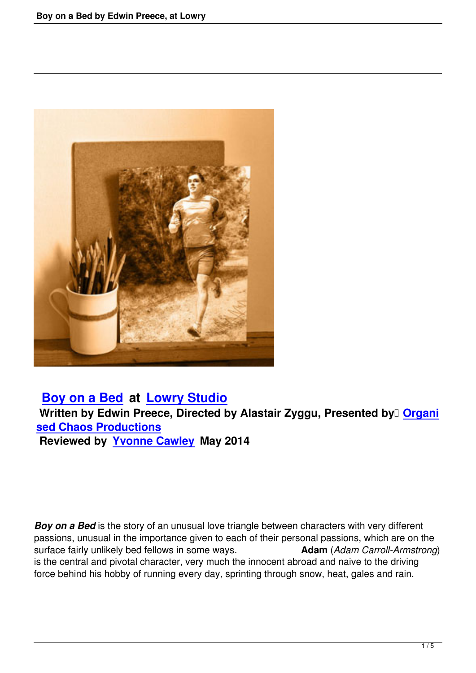

 **Boy on a Bed at Lowry Studio Written by Edwin Preece, Directed by Alastair Zyggu, Presented by <b>Organi sed Chaos Productions [Reviewed by Yv](boy-on-a-bed-lowry-studio.html)on[ne Cawley May 2](http://www.thelowry.com/)014**

**Boy on a Bed** is the story of an unusual love triangle between characters with very different passions, unusual in the importance given to each of their personal passions, which are on the surface fairly unlikely bed fellows in some ways. **Adam** (*Adam Carroll-Armstrong*) is the central and pivotal character, very much the innocent abroad and naive to the driving force behind his hobby of running every day, sprinting through snow, heat, gales and rain.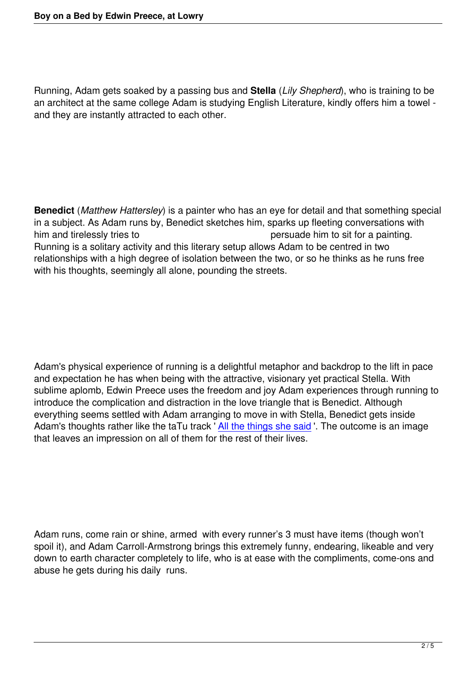Running, Adam gets soaked by a passing bus and **Stella** (*Lily Shepherd*), who is training to be an architect at the same college Adam is studying English Literature, kindly offers him a towel and they are instantly attracted to each other.

**Benedict** (*Matthew Hattersley*) is a painter who has an eye for detail and that something special in a subject. As Adam runs by, Benedict sketches him, sparks up fleeting conversations with him and tirelessly tries to persuade him to sit for a painting. Running is a solitary activity and this literary setup allows Adam to be centred in two relationships with a high degree of isolation between the two, or so he thinks as he runs free with his thoughts, seemingly all alone, pounding the streets.

Adam's physical experience of running is a delightful metaphor and backdrop to the lift in pace and expectation he has when being with the attractive, visionary yet practical Stella. With sublime aplomb, Edwin Preece uses the freedom and joy Adam experiences through running to introduce the complication and distraction in the love triangle that is Benedict. Although everything seems settled with Adam arranging to move in with Stella, Benedict gets inside Adam's thoughts rather like the taTu track 'All the things she said '. The outcome is an image that leaves an impression on all of them for the rest of their lives.

Adam runs, come rain or shine, armed with every runner's 3 must have items (though won't spoil it), and Adam Carroll-Armstrong brings this extremely funny, endearing, likeable and very down to earth character completely to life, who is at ease with the compliments, come-ons and abuse he gets during his daily runs.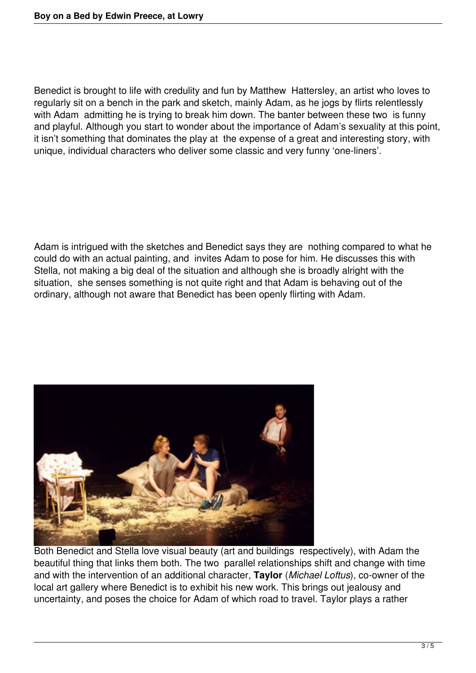Benedict is brought to life with credulity and fun by Matthew Hattersley, an artist who loves to regularly sit on a bench in the park and sketch, mainly Adam, as he jogs by flirts relentlessly with Adam admitting he is trying to break him down. The banter between these two is funny and playful. Although you start to wonder about the importance of Adam's sexuality at this point, it isn't something that dominates the play at the expense of a great and interesting story, with unique, individual characters who deliver some classic and very funny 'one-liners'.

Adam is intrigued with the sketches and Benedict says they are nothing compared to what he could do with an actual painting, and invites Adam to pose for him. He discusses this with Stella, not making a big deal of the situation and although she is broadly alright with the situation, she senses something is not quite right and that Adam is behaving out of the ordinary, although not aware that Benedict has been openly flirting with Adam.



Both Benedict and Stella love visual beauty (art and buildings respectively), with Adam the beautiful thing that links them both. The two parallel relationships shift and change with time and with the intervention of an additional character, **Taylor** (*Michael Loftus*), co-owner of the local art gallery where Benedict is to exhibit his new work. This brings out jealousy and uncertainty, and poses the choice for Adam of which road to travel. Taylor plays a rather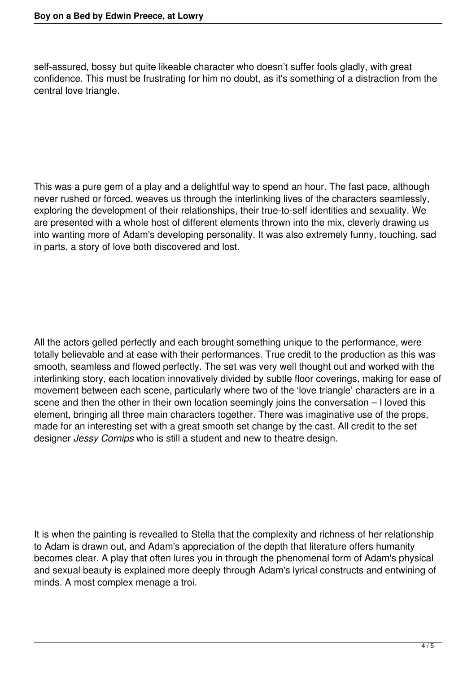self-assured, bossy but quite likeable character who doesn't suffer fools gladly, with great confidence. This must be frustrating for him no doubt, as it's something of a distraction from the central love triangle.

This was a pure gem of a play and a delightful way to spend an hour. The fast pace, although never rushed or forced, weaves us through the interlinking lives of the characters seamlessly, exploring the development of their relationships, their true-to-self identities and sexuality. We are presented with a whole host of different elements thrown into the mix, cleverly drawing us into wanting more of Adam's developing personality. It was also extremely funny, touching, sad in parts, a story of love both discovered and lost.

All the actors gelled perfectly and each brought something unique to the performance, were totally believable and at ease with their performances. True credit to the production as this was smooth, seamless and flowed perfectly. The set was very well thought out and worked with the interlinking story, each location innovatively divided by subtle floor coverings, making for ease of movement between each scene, particularly where two of the 'love triangle' characters are in a scene and then the other in their own location seemingly joins the conversation – I loved this element, bringing all three main characters together. There was imaginative use of the props, made for an interesting set with a great smooth set change by the cast. All credit to the set designer *Jessy Cornips* who is still a student and new to theatre design.

It is when the painting is revealled to Stella that the complexity and richness of her relationship to Adam is drawn out, and Adam's appreciation of the depth that literature offers humanity becomes clear. A play that often lures you in through the phenomenal form of Adam's physical and sexual beauty is explained more deeply through Adam's lyrical constructs and entwining of minds. A most complex menage a troi.